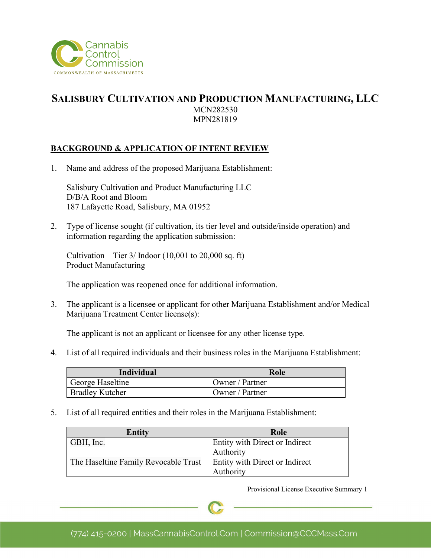

## **SALISBURY CULTIVATION AND PRODUCTION MANUFACTURING, LLC** MCN282530 MPN281819

### **BACKGROUND & APPLICATION OF INTENT REVIEW**

1. Name and address of the proposed Marijuana Establishment:

Salisbury Cultivation and Product Manufacturing LLC D/B/A Root and Bloom 187 Lafayette Road, Salisbury, MA 01952

2. Type of license sought (if cultivation, its tier level and outside/inside operation) and information regarding the application submission:

Cultivation – Tier  $3/$  Indoor (10,001 to 20,000 sq. ft) Product Manufacturing

The application was reopened once for additional information.

3. The applicant is a licensee or applicant for other Marijuana Establishment and/or Medical Marijuana Treatment Center license(s):

The applicant is not an applicant or licensee for any other license type.

4. List of all required individuals and their business roles in the Marijuana Establishment:

| Individual             | Role            |
|------------------------|-----------------|
| George Haseltine       | Owner / Partner |
| <b>Bradley Kutcher</b> | Owner / Partner |

5. List of all required entities and their roles in the Marijuana Establishment:

| <b>Entity</b>                        | Role                                  |
|--------------------------------------|---------------------------------------|
| GBH, Inc.                            | <b>Entity with Direct or Indirect</b> |
|                                      | Authority                             |
| The Haseltine Family Revocable Trust | <b>Entity with Direct or Indirect</b> |
|                                      | Authority                             |

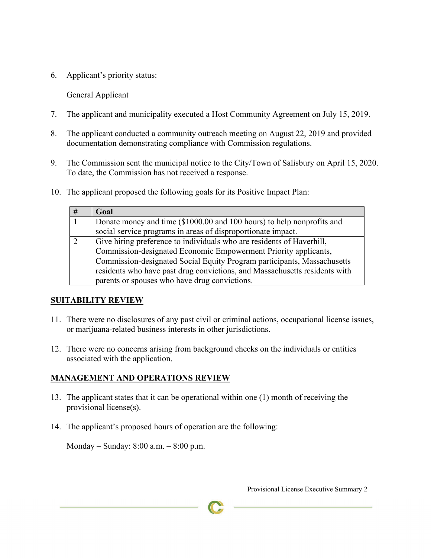6. Applicant's priority status:

General Applicant

- 7. The applicant and municipality executed a Host Community Agreement on July 15, 2019.
- 8. The applicant conducted a community outreach meeting on August 22, 2019 and provided documentation demonstrating compliance with Commission regulations.
- 9. The Commission sent the municipal notice to the City/Town of Salisbury on April 15, 2020. To date, the Commission has not received a response.
- 10. The applicant proposed the following goals for its Positive Impact Plan:

| # | Goal                                                                       |
|---|----------------------------------------------------------------------------|
|   | Donate money and time (\$1000.00 and 100 hours) to help nonprofits and     |
|   | social service programs in areas of disproportionate impact.               |
|   | Give hiring preference to individuals who are residents of Haverhill,      |
|   | Commission-designated Economic Empowerment Priority applicants,            |
|   | Commission-designated Social Equity Program participants, Massachusetts    |
|   | residents who have past drug convictions, and Massachusetts residents with |
|   | parents or spouses who have drug convictions.                              |

#### **SUITABILITY REVIEW**

- 11. There were no disclosures of any past civil or criminal actions, occupational license issues, or marijuana-related business interests in other jurisdictions.
- 12. There were no concerns arising from background checks on the individuals or entities associated with the application.

### **MANAGEMENT AND OPERATIONS REVIEW**

- 13. The applicant states that it can be operational within one (1) month of receiving the provisional license(s).
- 14. The applicant's proposed hours of operation are the following:

Monday – Sunday: 8:00 a.m. – 8:00 p.m.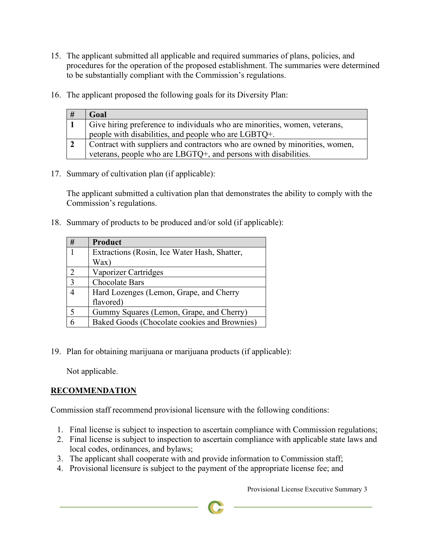- 15. The applicant submitted all applicable and required summaries of plans, policies, and procedures for the operation of the proposed establishment. The summaries were determined to be substantially compliant with the Commission's regulations.
- 16. The applicant proposed the following goals for its Diversity Plan:

| # | Goal                                                                        |
|---|-----------------------------------------------------------------------------|
|   | Give hiring preference to individuals who are minorities, women, veterans,  |
|   | people with disabilities, and people who are LGBTQ+.                        |
|   | Contract with suppliers and contractors who are owned by minorities, women, |
|   | veterans, people who are LBGTQ+, and persons with disabilities.             |

17. Summary of cultivation plan (if applicable):

The applicant submitted a cultivation plan that demonstrates the ability to comply with the Commission's regulations.

18. Summary of products to be produced and/or sold (if applicable):

| # | Product                                      |
|---|----------------------------------------------|
|   | Extractions (Rosin, Ice Water Hash, Shatter, |
|   | Wax)                                         |
|   | Vaporizer Cartridges                         |
| 3 | <b>Chocolate Bars</b>                        |
|   | Hard Lozenges (Lemon, Grape, and Cherry      |
|   | flavored)                                    |
|   | Gummy Squares (Lemon, Grape, and Cherry)     |
|   | Baked Goods (Chocolate cookies and Brownies) |

19. Plan for obtaining marijuana or marijuana products (if applicable):

Not applicable.

# **RECOMMENDATION**

Commission staff recommend provisional licensure with the following conditions:

- 1. Final license is subject to inspection to ascertain compliance with Commission regulations;
- 2. Final license is subject to inspection to ascertain compliance with applicable state laws and local codes, ordinances, and bylaws;
- 3. The applicant shall cooperate with and provide information to Commission staff;
- 4. Provisional licensure is subject to the payment of the appropriate license fee; and